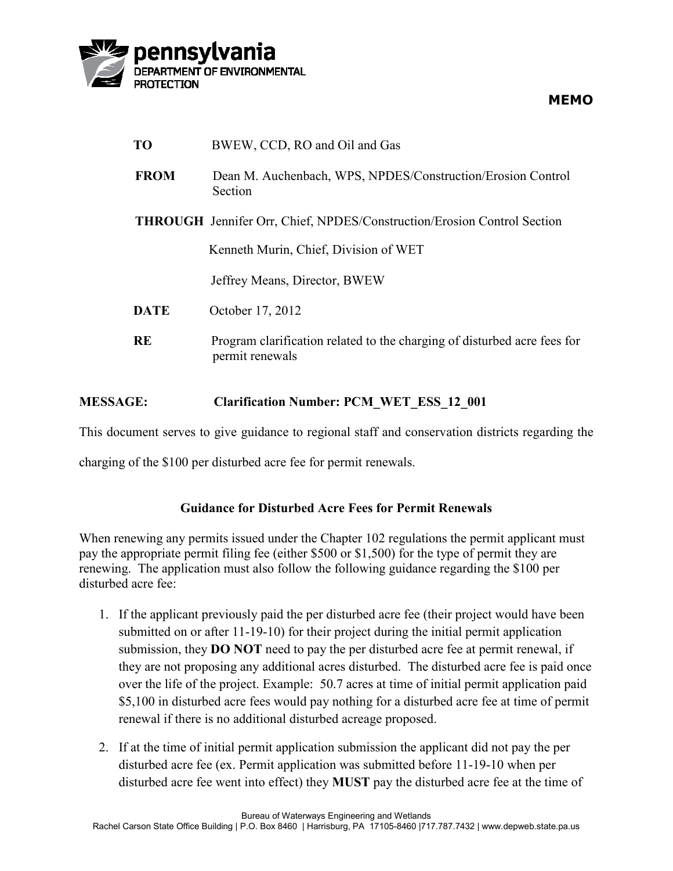

| TO          | BWEW, CCD, RO and Oil and Gas                                                               |
|-------------|---------------------------------------------------------------------------------------------|
| <b>FROM</b> | Dean M. Auchenbach, WPS, NPDES/Construction/Erosion Control<br>Section                      |
|             | <b>THROUGH</b> Jennifer Orr, Chief, NPDES/Construction/Erosion Control Section              |
|             | Kenneth Murin, Chief, Division of WET                                                       |
|             | Jeffrey Means, Director, BWEW                                                               |
| <b>DATE</b> | October 17, 2012                                                                            |
| <b>RE</b>   | Program clarification related to the charging of disturbed acre fees for<br>permit renewals |

## **MESSAGE: Clarification Number: PCM\_WET\_ESS\_12\_001**

This document serves to give guidance to regional staff and conservation districts regarding the

charging of the \$100 per disturbed acre fee for permit renewals.

## **Guidance for Disturbed Acre Fees for Permit Renewals**

When renewing any permits issued under the Chapter 102 regulations the permit applicant must pay the appropriate permit filing fee (either \$500 or \$1,500) for the type of permit they are renewing. The application must also follow the following guidance regarding the \$100 per disturbed acre fee:

- 1. If the applicant previously paid the per disturbed acre fee (their project would have been submitted on or after 11-19-10) for their project during the initial permit application submission, they **DO NOT** need to pay the per disturbed acre fee at permit renewal, if they are not proposing any additional acres disturbed. The disturbed acre fee is paid once over the life of the project. Example: 50.7 acres at time of initial permit application paid \$5,100 in disturbed acre fees would pay nothing for a disturbed acre fee at time of permit renewal if there is no additional disturbed acreage proposed.
- 2. If at the time of initial permit application submission the applicant did not pay the per disturbed acre fee (ex. Permit application was submitted before 11-19-10 when per disturbed acre fee went into effect) they **MUST** pay the disturbed acre fee at the time of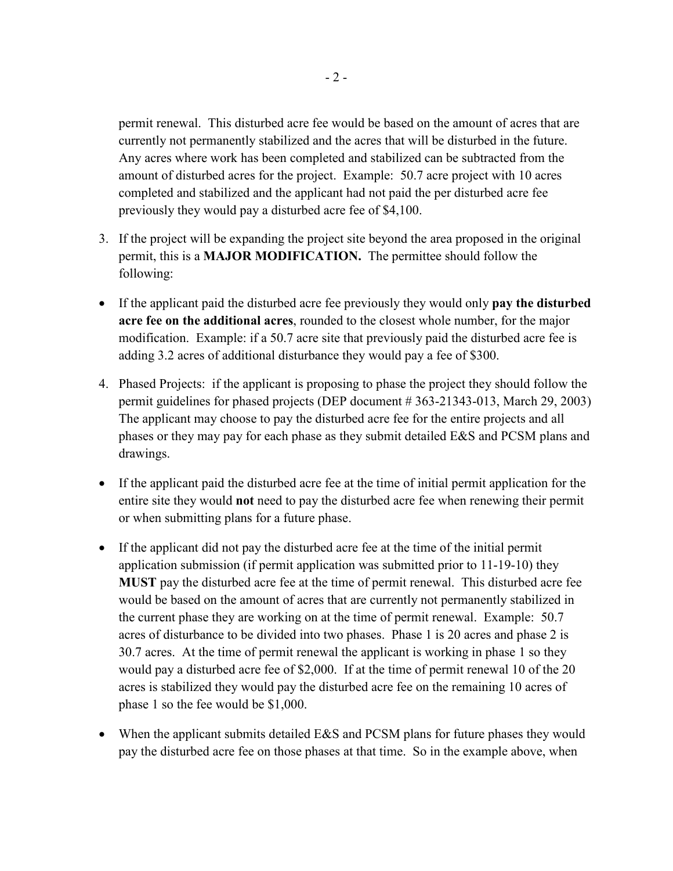permit renewal. This disturbed acre fee would be based on the amount of acres that are currently not permanently stabilized and the acres that will be disturbed in the future. Any acres where work has been completed and stabilized can be subtracted from the amount of disturbed acres for the project. Example: 50.7 acre project with 10 acres completed and stabilized and the applicant had not paid the per disturbed acre fee previously they would pay a disturbed acre fee of \$4,100.

- 3. If the project will be expanding the project site beyond the area proposed in the original permit, this is a **MAJOR MODIFICATION.** The permittee should follow the following:
- If the applicant paid the disturbed acre fee previously they would only **pay the disturbed acre fee on the additional acres**, rounded to the closest whole number, for the major modification. Example: if a 50.7 acre site that previously paid the disturbed acre fee is adding 3.2 acres of additional disturbance they would pay a fee of \$300.
- 4. Phased Projects: if the applicant is proposing to phase the project they should follow the permit guidelines for phased projects (DEP document # 363-21343-013, March 29, 2003) The applicant may choose to pay the disturbed acre fee for the entire projects and all phases or they may pay for each phase as they submit detailed E&S and PCSM plans and drawings.
- If the applicant paid the disturbed acre fee at the time of initial permit application for the entire site they would **not** need to pay the disturbed acre fee when renewing their permit or when submitting plans for a future phase.
- If the applicant did not pay the disturbed acre fee at the time of the initial permit application submission (if permit application was submitted prior to 11-19-10) they **MUST** pay the disturbed acre fee at the time of permit renewal. This disturbed acre fee would be based on the amount of acres that are currently not permanently stabilized in the current phase they are working on at the time of permit renewal. Example: 50.7 acres of disturbance to be divided into two phases. Phase 1 is 20 acres and phase 2 is 30.7 acres. At the time of permit renewal the applicant is working in phase 1 so they would pay a disturbed acre fee of \$2,000. If at the time of permit renewal 10 of the 20 acres is stabilized they would pay the disturbed acre fee on the remaining 10 acres of phase 1 so the fee would be \$1,000.
- When the applicant submits detailed E&S and PCSM plans for future phases they would pay the disturbed acre fee on those phases at that time. So in the example above, when